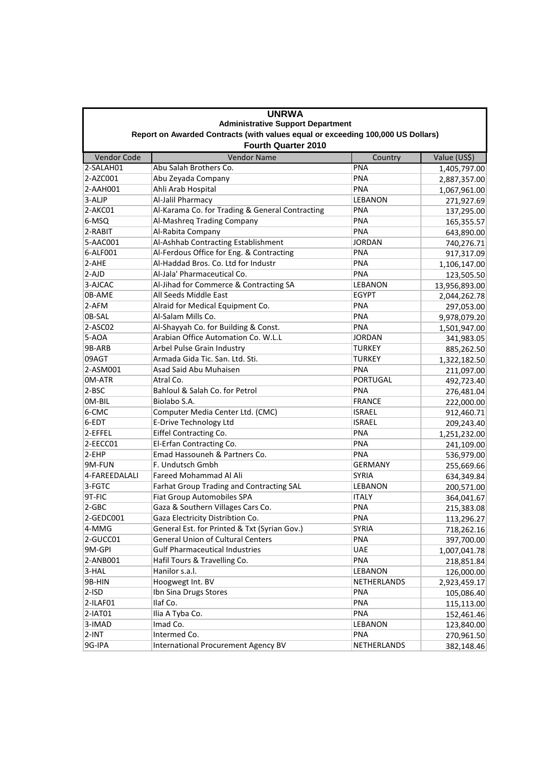|                                                                                                               | <b>UNRWA</b>                                    |                 |               |  |  |  |  |
|---------------------------------------------------------------------------------------------------------------|-------------------------------------------------|-----------------|---------------|--|--|--|--|
|                                                                                                               | <b>Administrative Support Department</b>        |                 |               |  |  |  |  |
| Report on Awarded Contracts (with values equal or exceeding 100,000 US Dollars)<br><b>Fourth Quarter 2010</b> |                                                 |                 |               |  |  |  |  |
| Vendor Code                                                                                                   | <b>Vendor Name</b>                              | Country         | Value (US\$)  |  |  |  |  |
| $2-SALAHO1$                                                                                                   | Abu Salah Brothers Co.                          | <b>PNA</b>      | 1,405,797.00  |  |  |  |  |
| $2-AZCOO1$                                                                                                    | Abu Zeyada Company                              | PNA             | 2,887,357.00  |  |  |  |  |
| 2-AAH001                                                                                                      | Ahli Arab Hospital                              | <b>PNA</b>      | 1,067,961.00  |  |  |  |  |
| 3-ALJP                                                                                                        | Al-Jalil Pharmacy                               | <b>LEBANON</b>  | 271,927.69    |  |  |  |  |
| 2-AKC01                                                                                                       | Al-Karama Co. for Trading & General Contracting | <b>PNA</b>      | 137,295.00    |  |  |  |  |
| 6-MSQ                                                                                                         | Al-Mashreq Trading Company                      | <b>PNA</b>      | 165,355.57    |  |  |  |  |
| 2-RABIT                                                                                                       | Al-Rabita Company                               | <b>PNA</b>      | 643,890.00    |  |  |  |  |
| 5-AAC001                                                                                                      | Al-Ashhab Contracting Establishment             | <b>JORDAN</b>   | 740,276.71    |  |  |  |  |
| 6-ALF001                                                                                                      | Al-Ferdous Office for Eng. & Contracting        | <b>PNA</b>      | 917,317.09    |  |  |  |  |
| 2-AHE                                                                                                         | Al-Haddad Bros. Co. Ltd for Industr             | <b>PNA</b>      | 1,106,147.00  |  |  |  |  |
| 2-AJD                                                                                                         | Al-Jala' Pharmaceutical Co.                     | <b>PNA</b>      | 123,505.50    |  |  |  |  |
| 3-AJCAC                                                                                                       | Al-Jihad for Commerce & Contracting SA          | LEBANON         | 13,956,893.00 |  |  |  |  |
| 0B-AME                                                                                                        | All Seeds Middle East                           | <b>EGYPT</b>    | 2,044,262.78  |  |  |  |  |
| 2-AFM                                                                                                         | Alraid for Medical Equipment Co.                | <b>PNA</b>      | 297,053.00    |  |  |  |  |
| 0B-SAL                                                                                                        | Al-Salam Mills Co.                              | PNA             | 9,978,079.20  |  |  |  |  |
| 2-ASC02                                                                                                       | Al-Shayyah Co. for Building & Const.            | <b>PNA</b>      | 1,501,947.00  |  |  |  |  |
| 5-AOA                                                                                                         | Arabian Office Automation Co. W.L.L             | <b>JORDAN</b>   | 341,983.05    |  |  |  |  |
| 9B-ARB                                                                                                        | Arbel Pulse Grain Industry                      | <b>TURKEY</b>   | 885,262.50    |  |  |  |  |
| 09AGT                                                                                                         | Armada Gida Tic. San. Ltd. Sti.                 | <b>TURKEY</b>   | 1,322,182.50  |  |  |  |  |
| 2-ASM001                                                                                                      | Asad Said Abu Muhaisen                          | <b>PNA</b>      | 211,097.00    |  |  |  |  |
| 0M-ATR                                                                                                        | Atral Co.                                       | <b>PORTUGAL</b> | 492,723.40    |  |  |  |  |
| 2-BSC                                                                                                         | Bahloul & Salah Co. for Petrol                  | <b>PNA</b>      | 276,481.04    |  |  |  |  |
| OM-BIL                                                                                                        | Biolabo S.A.                                    | <b>FRANCE</b>   | 222,000.00    |  |  |  |  |
| 6-CMC                                                                                                         | Computer Media Center Ltd. (CMC)                | <b>ISRAEL</b>   | 912,460.71    |  |  |  |  |
| 6-EDT                                                                                                         | E-Drive Technology Ltd                          | <b>ISRAEL</b>   | 209,243.40    |  |  |  |  |
| 2-EFFEL                                                                                                       | Eiffel Contracting Co.                          | <b>PNA</b>      | 1,251,232.00  |  |  |  |  |
| 2-EECC01                                                                                                      | El-Erfan Contracting Co.                        | <b>PNA</b>      | 241,109.00    |  |  |  |  |
| $2$ -EHP                                                                                                      | Emad Hassouneh & Partners Co.                   | <b>PNA</b>      | 536,979.00    |  |  |  |  |
| 9M-FUN                                                                                                        | F. Undutsch Gmbh                                | <b>GERMANY</b>  | 255,669.66    |  |  |  |  |
| 4-FAREEDALALI                                                                                                 | Fareed Mohammad Al Ali                          | <b>SYRIA</b>    | 634,349.84    |  |  |  |  |
| 3-FGTC                                                                                                        | Farhat Group Trading and Contracting SAL        | LEBANON         | 200,571.00    |  |  |  |  |
| 9T-FIC                                                                                                        | <b>Fiat Group Automobiles SPA</b>               | <b>ITALY</b>    | 364,041.67    |  |  |  |  |
| 2-GBC                                                                                                         | Gaza & Southern Villages Cars Co.               | <b>PNA</b>      | 215,383.08    |  |  |  |  |
| 2-GEDC001                                                                                                     | Gaza Electricity Distribtion Co.                | <b>PNA</b>      | 113,296.27    |  |  |  |  |
| 4-MMG                                                                                                         | General Est. for Printed & Txt (Syrian Gov.)    | <b>SYRIA</b>    | 718,262.16    |  |  |  |  |
| 2-GUCC01                                                                                                      | <b>General Union of Cultural Centers</b>        | <b>PNA</b>      | 397,700.00    |  |  |  |  |
| 9M-GPI                                                                                                        | <b>Gulf Pharmaceutical Industries</b>           | <b>UAE</b>      | 1,007,041.78  |  |  |  |  |
| 2-ANB001                                                                                                      | Hafil Tours & Travelling Co.                    | <b>PNA</b>      | 218,851.84    |  |  |  |  |
| 3-HAL                                                                                                         | Hanilor s.a.l.                                  | LEBANON         | 126,000.00    |  |  |  |  |
| 9B-HIN                                                                                                        | Hoogwegt Int. BV                                | NETHERLANDS     | 2,923,459.17  |  |  |  |  |
| $2-ISD$                                                                                                       | Ibn Sina Drugs Stores                           | <b>PNA</b>      | 105,086.40    |  |  |  |  |
| 2-ILAF01                                                                                                      | Ilaf Co.                                        | <b>PNA</b>      | 115,113.00    |  |  |  |  |
| 2-IAT01                                                                                                       | Ilia A Tyba Co.                                 | <b>PNA</b>      | 152,461.46    |  |  |  |  |
| 3-IMAD                                                                                                        | Imad Co.                                        | LEBANON         | 123,840.00    |  |  |  |  |
| $2-INT$                                                                                                       | Intermed Co.                                    | <b>PNA</b>      | 270,961.50    |  |  |  |  |
| 9G-IPA                                                                                                        | <b>International Procurement Agency BV</b>      | NETHERLANDS     | 382,148.46    |  |  |  |  |
|                                                                                                               |                                                 |                 |               |  |  |  |  |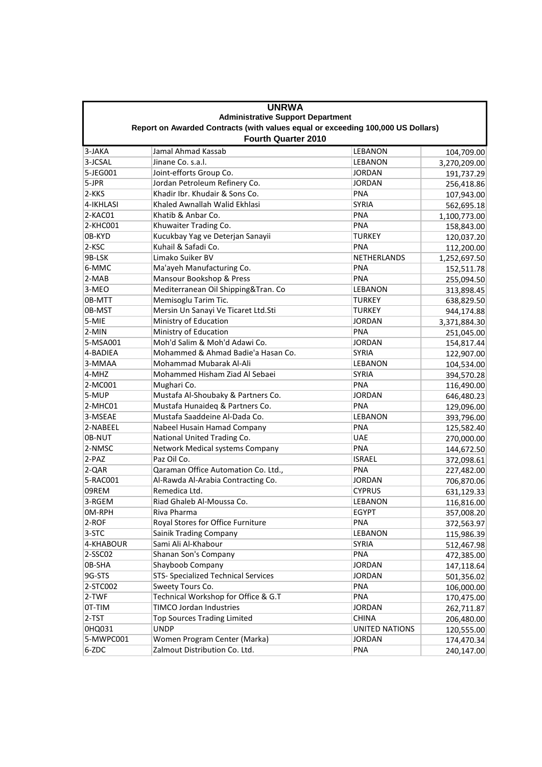| <b>UNRWA</b>                                                                                                  |                                     |                |              |  |  |  |
|---------------------------------------------------------------------------------------------------------------|-------------------------------------|----------------|--------------|--|--|--|
| <b>Administrative Support Department</b>                                                                      |                                     |                |              |  |  |  |
| Report on Awarded Contracts (with values equal or exceeding 100,000 US Dollars)<br><b>Fourth Quarter 2010</b> |                                     |                |              |  |  |  |
| 3-JAKA                                                                                                        | Jamal Ahmad Kassab                  | <b>LEBANON</b> | 104,709.00   |  |  |  |
| 3-JCSAL                                                                                                       | Jinane Co. s.a.l.                   | LEBANON        | 3,270,209.00 |  |  |  |
| 5-JEG001                                                                                                      | Joint-efforts Group Co.             | JORDAN         | 191,737.29   |  |  |  |
| 5-JPR                                                                                                         | Jordan Petroleum Refinery Co.       | <b>JORDAN</b>  | 256,418.86   |  |  |  |
| 2-KKS                                                                                                         | Khadir Ibr. Khudair & Sons Co.      | <b>PNA</b>     | 107,943.00   |  |  |  |
| 4-IKHLASI                                                                                                     | Khaled Awnallah Walid Ekhlasi       | <b>SYRIA</b>   | 562,695.18   |  |  |  |
| 2-KAC01                                                                                                       | Khatib & Anbar Co.                  | <b>PNA</b>     | 1,100,773.00 |  |  |  |
| 2-KHC001                                                                                                      | Khuwaiter Trading Co.               | <b>PNA</b>     | 158,843.00   |  |  |  |
| 0B-KYD                                                                                                        | Kucukbay Yag ve Deterjan Sanayii    | <b>TURKEY</b>  | 120,037.20   |  |  |  |
| 2-KSC                                                                                                         | Kuhail & Safadi Co.                 | <b>PNA</b>     | 112,200.00   |  |  |  |
| 9B-LSK                                                                                                        | Limako Suiker BV                    | NETHERLANDS    | 1,252,697.50 |  |  |  |
| 6-MMC                                                                                                         | Ma'ayeh Manufacturing Co.           | <b>PNA</b>     | 152,511.78   |  |  |  |
| 2-MAB                                                                                                         | Mansour Bookshop & Press            | <b>PNA</b>     | 255,094.50   |  |  |  |
| 3-MEO                                                                                                         | Mediterranean Oil Shipping&Tran. Co | LEBANON        | 313,898.45   |  |  |  |
| 0B-MTT                                                                                                        | Memisoglu Tarim Tic.                | <b>TURKEY</b>  | 638,829.50   |  |  |  |
| 0B-MST                                                                                                        | Mersin Un Sanayi Ve Ticaret Ltd.Sti | <b>TURKEY</b>  | 944,174.88   |  |  |  |
| 5-MIE                                                                                                         | Ministry of Education               | <b>JORDAN</b>  | 3,371,884.30 |  |  |  |
| 2-MIN                                                                                                         | Ministry of Education               | <b>PNA</b>     | 251,045.00   |  |  |  |
| 5-MSA001                                                                                                      | Moh'd Salim & Moh'd Adawi Co.       | <b>JORDAN</b>  | 154,817.44   |  |  |  |
| 4-BADIEA                                                                                                      | Mohammed & Ahmad Badie'a Hasan Co.  | <b>SYRIA</b>   | 122,907.00   |  |  |  |
| 3-MMAA                                                                                                        | Mohammad Mubarak Al-Ali             | <b>LEBANON</b> | 104,534.00   |  |  |  |
| 4-MHZ                                                                                                         | Mohammed Hisham Ziad Al Sebaei      | <b>SYRIA</b>   | 394,570.28   |  |  |  |
| 2-MC001                                                                                                       | Mughari Co.                         | <b>PNA</b>     | 116,490.00   |  |  |  |
| 5-MUP                                                                                                         | Mustafa Al-Shoubaky & Partners Co.  | <b>JORDAN</b>  | 646,480.23   |  |  |  |
| 2-MHC01                                                                                                       | Mustafa Hunaideq & Partners Co.     | <b>PNA</b>     | 129,096.00   |  |  |  |
| 3-MSEAE                                                                                                       | Mustafa Saaddeine Al-Dada Co.       | <b>LEBANON</b> | 393,796.00   |  |  |  |
| 2-NABEEL                                                                                                      | Nabeel Husain Hamad Company         | PNA            | 125,582.40   |  |  |  |
| 0B-NUT                                                                                                        | National United Trading Co.         | <b>UAE</b>     | 270,000.00   |  |  |  |
| 2-NMSC                                                                                                        | Network Medical systems Company     | <b>PNA</b>     | 144,672.50   |  |  |  |
| 2-PAZ                                                                                                         | Paz Oil Co.                         | <b>ISRAEL</b>  | 372,098.61   |  |  |  |
| 2-QAR                                                                                                         | Qaraman Office Automation Co. Ltd., | <b>PNA</b>     | 227,482.00   |  |  |  |
| 5-RAC001                                                                                                      | Al-Rawda Al-Arabia Contracting Co.  | <b>JORDAN</b>  | 706,870.06   |  |  |  |
| 09REM                                                                                                         | Remedica Ltd.                       | <b>CYPRUS</b>  | 631,129.33   |  |  |  |
| 3-RGEM                                                                                                        | Riad Ghaleb Al-Moussa Co.           | LEBANON        | 116,816.00   |  |  |  |
| OM-RPH                                                                                                        | Riva Pharma                         | EGYPT          | 357,008.20   |  |  |  |
| 2-ROF                                                                                                         | Royal Stores for Office Furniture   | <b>PNA</b>     | 372,563.97   |  |  |  |
| 3-STC                                                                                                         | <b>Sainik Trading Company</b>       | LEBANON        | 115,986.39   |  |  |  |
| 4-KHABOUR                                                                                                     | Sami Ali Al-Khabour                 | <b>SYRIA</b>   | 512,467.98   |  |  |  |
| 2-SSC02                                                                                                       | Shanan Son's Company                | <b>PNA</b>     | 472,385.00   |  |  |  |
| 0B-SHA                                                                                                        | Shayboob Company                    | <b>JORDAN</b>  | 147,118.64   |  |  |  |
| 9G-STS                                                                                                        | STS- Specialized Technical Services | <b>JORDAN</b>  | 501,356.02   |  |  |  |
| 2-STC002                                                                                                      | Sweety Tours Co.                    | <b>PNA</b>     | 106,000.00   |  |  |  |
| 2-TWF                                                                                                         | Technical Workshop for Office & G.T | <b>PNA</b>     | 170,475.00   |  |  |  |
| 0T-TIM                                                                                                        | TIMCO Jordan Industries             | <b>JORDAN</b>  | 262,711.87   |  |  |  |
| 2-TST                                                                                                         | <b>Top Sources Trading Limited</b>  | <b>CHINA</b>   | 206,480.00   |  |  |  |
| 0HQ031                                                                                                        | <b>UNDP</b>                         | UNITED NATIONS | 120,555.00   |  |  |  |
| 5-MWPC001                                                                                                     | Women Program Center (Marka)        | <b>JORDAN</b>  | 174,470.34   |  |  |  |
| 6-ZDC                                                                                                         | Zalmout Distribution Co. Ltd.       | <b>PNA</b>     | 240,147.00   |  |  |  |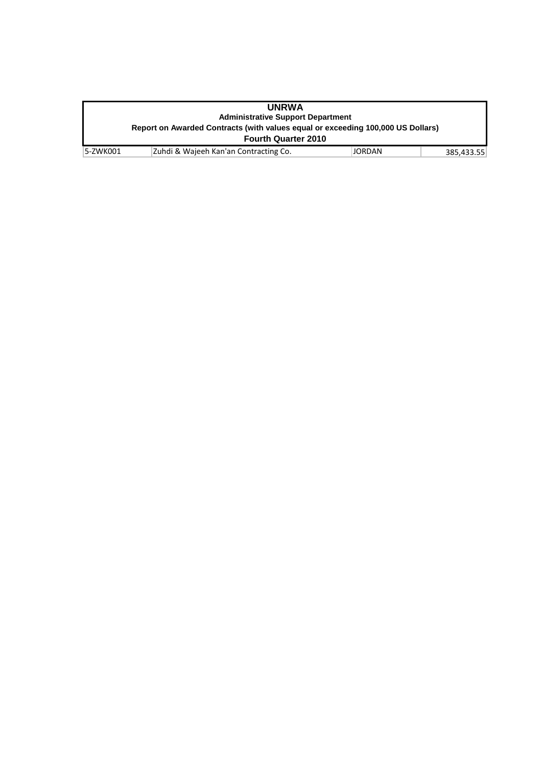| <b>UNRWA</b>                                                                    |                                       |        |            |  |  |  |
|---------------------------------------------------------------------------------|---------------------------------------|--------|------------|--|--|--|
| <b>Administrative Support Department</b>                                        |                                       |        |            |  |  |  |
| Report on Awarded Contracts (with values equal or exceeding 100,000 US Dollars) |                                       |        |            |  |  |  |
| <b>Fourth Quarter 2010</b>                                                      |                                       |        |            |  |  |  |
| 5-ZWK001                                                                        | Zuhdi & Wajeeh Kan'an Contracting Co. | JORDAN | 385.433.55 |  |  |  |